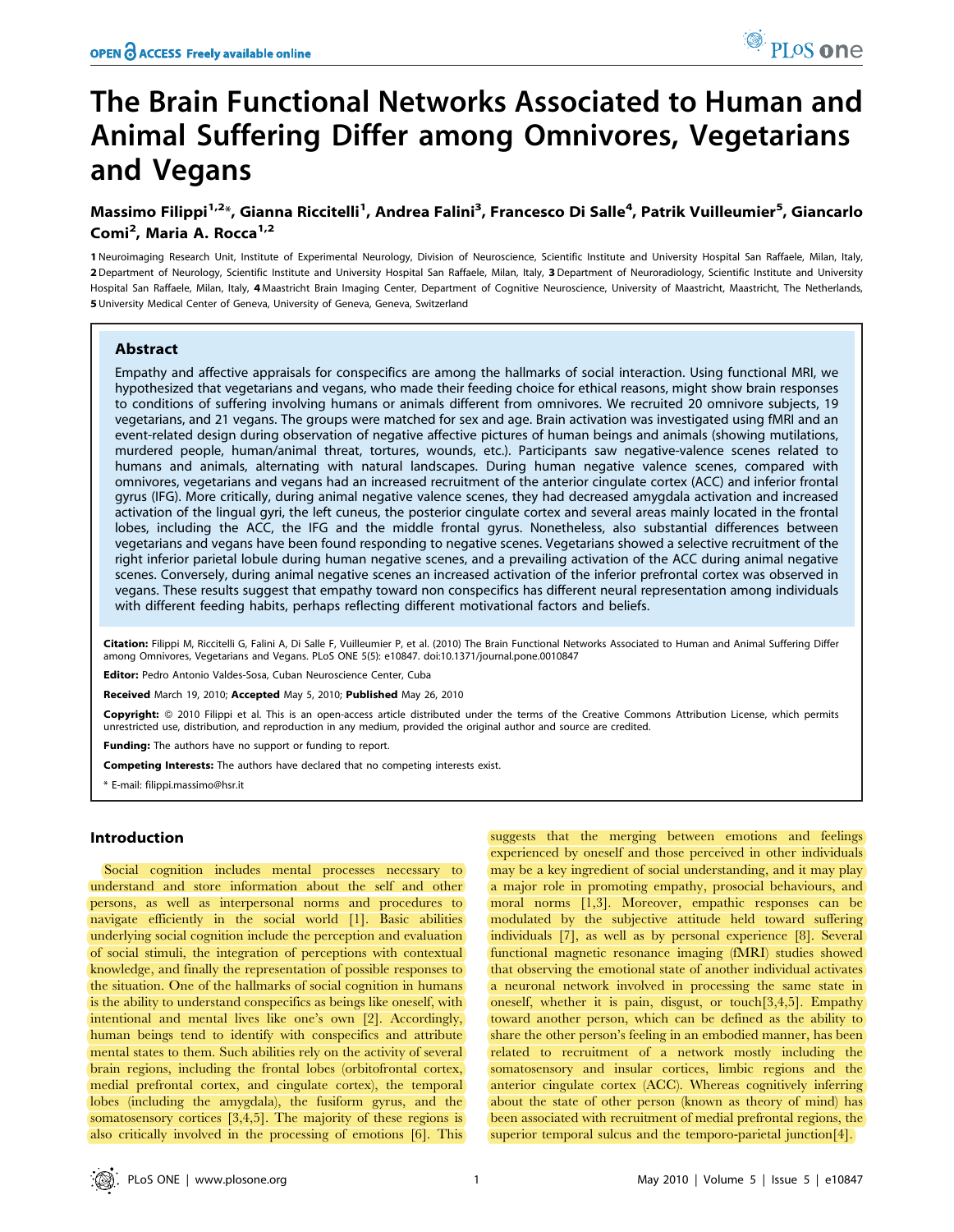# The Brain Functional Networks Associated to Human and Animal Suffering Differ among Omnivores, Vegetarians and Vegans

# Massimo Filippi<sup>1,2</sup>\*, Gianna Riccitelli<sup>1</sup>, Andrea Falini<sup>3</sup>, Francesco Di Salle<sup>4</sup>, Patrik Vuilleumier<sup>5</sup>, Giancarlo Comi<sup>2</sup>, Maria A. Rocca<sup>1,2</sup>

1 Neuroimaging Research Unit, Institute of Experimental Neurology, Division of Neuroscience, Scientific Institute and University Hospital San Raffaele, Milan, Italy, 2 Department of Neurology, Scientific Institute and University Hospital San Raffaele, Milan, Italy, 3 Department of Neuroradiology, Scientific Institute and University Hospital San Raffaele, Milan, Italy, 4 Maastricht Brain Imaging Center, Department of Cognitive Neuroscience, University of Maastricht, Maastricht, The Netherlands, 5 University Medical Center of Geneva, University of Geneva, Geneva, Switzerland

# Abstract

Empathy and affective appraisals for conspecifics are among the hallmarks of social interaction. Using functional MRI, we hypothesized that vegetarians and vegans, who made their feeding choice for ethical reasons, might show brain responses to conditions of suffering involving humans or animals different from omnivores. We recruited 20 omnivore subjects, 19 vegetarians, and 21 vegans. The groups were matched for sex and age. Brain activation was investigated using fMRI and an event-related design during observation of negative affective pictures of human beings and animals (showing mutilations, murdered people, human/animal threat, tortures, wounds, etc.). Participants saw negative-valence scenes related to humans and animals, alternating with natural landscapes. During human negative valence scenes, compared with omnivores, vegetarians and vegans had an increased recruitment of the anterior cingulate cortex (ACC) and inferior frontal gyrus (IFG). More critically, during animal negative valence scenes, they had decreased amygdala activation and increased activation of the lingual gyri, the left cuneus, the posterior cingulate cortex and several areas mainly located in the frontal lobes, including the ACC, the IFG and the middle frontal gyrus. Nonetheless, also substantial differences between vegetarians and vegans have been found responding to negative scenes. Vegetarians showed a selective recruitment of the right inferior parietal lobule during human negative scenes, and a prevailing activation of the ACC during animal negative scenes. Conversely, during animal negative scenes an increased activation of the inferior prefrontal cortex was observed in vegans. These results suggest that empathy toward non conspecifics has different neural representation among individuals with different feeding habits, perhaps reflecting different motivational factors and beliefs.

Citation: Filippi M, Riccitelli G, Falini A, Di Salle F, Vuilleumier P, et al. (2010) The Brain Functional Networks Associated to Human and Animal Suffering Differ among Omnivores, Vegetarians and Vegans. PLoS ONE 5(5): e10847. doi:10.1371/journal.pone.0010847

Editor: Pedro Antonio Valdes-Sosa, Cuban Neuroscience Center, Cuba

Received March 19, 2010; Accepted May 5, 2010; Published May 26, 2010

Copyright: © 2010 Filippi et al. This is an open-access article distributed under the terms of the Creative Commons Attribution License, which permits unrestricted use, distribution, and reproduction in any medium, provided the original author and source are credited.

Funding: The authors have no support or funding to report.

Competing Interests: The authors have declared that no competing interests exist.

\* E-mail: filippi.massimo@hsr.it

# Introduction

Social cognition includes mental processes necessary to understand and store information about the self and other persons, as well as interpersonal norms and procedures to navigate efficiently in the social world [1]. Basic abilities underlying social cognition include the perception and evaluation of social stimuli, the integration of perceptions with contextual knowledge, and finally the representation of possible responses to the situation. One of the hallmarks of social cognition in humans is the ability to understand conspecifics as beings like oneself, with intentional and mental lives like one's own [2]. Accordingly, human beings tend to identify with conspecifics and attribute mental states to them. Such abilities rely on the activity of several brain regions, including the frontal lobes (orbitofrontal cortex, medial prefrontal cortex, and cingulate cortex), the temporal lobes (including the amygdala), the fusiform gyrus, and the somatosensory cortices [3,4,5]. The majority of these regions is also critically involved in the processing of emotions [6]. This

suggests that the merging between emotions and feelings experienced by oneself and those perceived in other individuals may be a key ingredient of social understanding, and it may play a major role in promoting empathy, prosocial behaviours, and moral norms [1,3]. Moreover, empathic responses can be modulated by the subjective attitude held toward suffering individuals [7], as well as by personal experience [8]. Several functional magnetic resonance imaging (fMRI) studies showed that observing the emotional state of another individual activates a neuronal network involved in processing the same state in oneself, whether it is pain, disgust, or touch[3,4,5]. Empathy toward another person, which can be defined as the ability to share the other person's feeling in an embodied manner, has been related to recruitment of a network mostly including the somatosensory and insular cortices, limbic regions and the anterior cingulate cortex (ACC). Whereas cognitively inferring about the state of other person (known as theory of mind) has been associated with recruitment of medial prefrontal regions, the superior temporal sulcus and the temporo-parietal junction[4].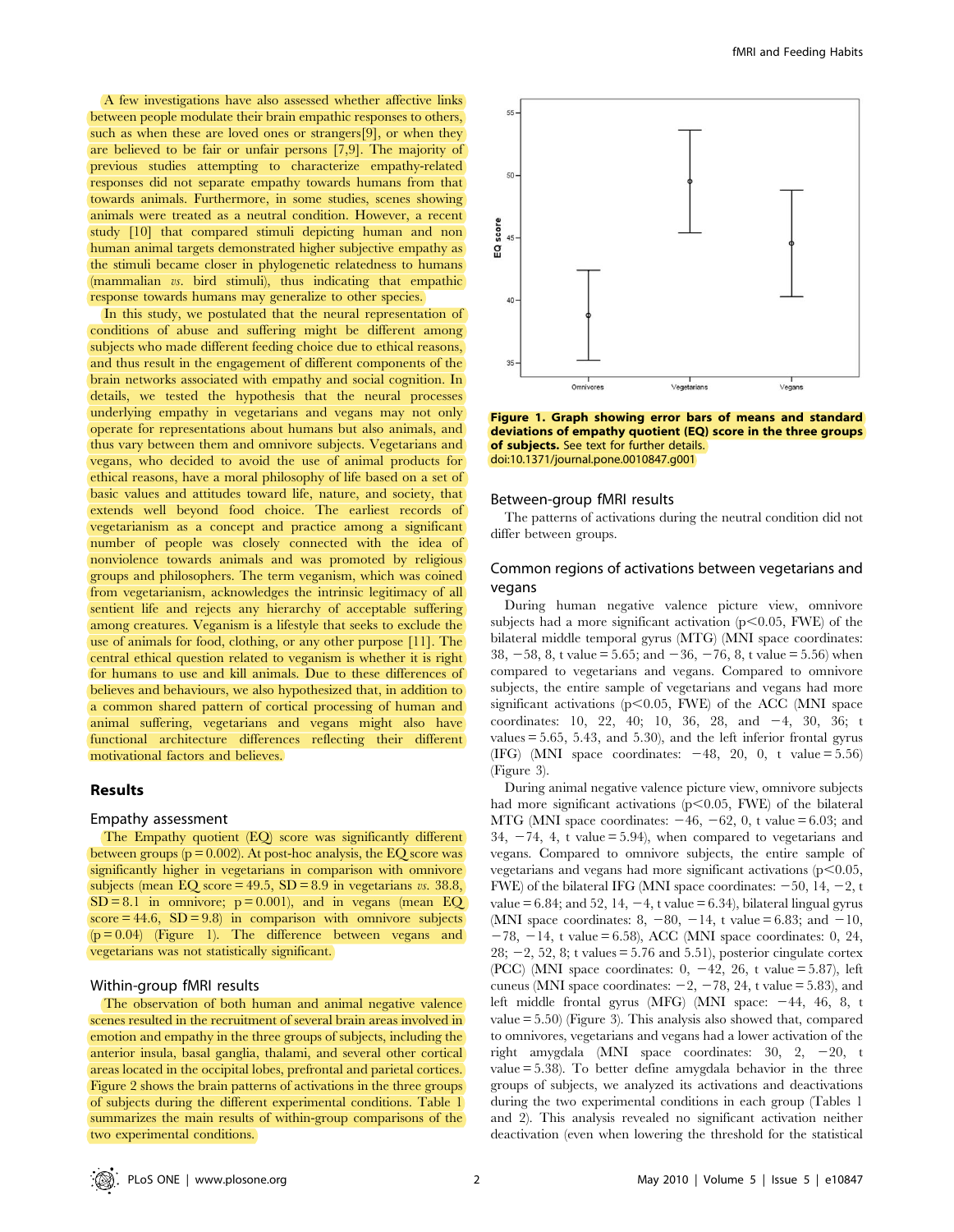A few investigations have also assessed whether affective links between people modulate their brain empathic responses to others, such as when these are loved ones or strangers[9], or when they are believed to be fair or unfair persons [7,9]. The majority of previous studies attempting to characterize empathy-related responses did not separate empathy towards humans from that towards animals. Furthermore, in some studies, scenes showing animals were treated as a neutral condition. However, a recent study [10] that compared stimuli depicting human and non human animal targets demonstrated higher subjective empathy as the stimuli became closer in phylogenetic relatedness to humans (mammalian vs. bird stimuli), thus indicating that empathic response towards humans may generalize to other species.

In this study, we postulated that the neural representation of conditions of abuse and suffering might be different among subjects who made different feeding choice due to ethical reasons, and thus result in the engagement of different components of the brain networks associated with empathy and social cognition. In details, we tested the hypothesis that the neural processes underlying empathy in vegetarians and vegans may not only operate for representations about humans but also animals, and thus vary between them and omnivore subjects. Vegetarians and vegans, who decided to avoid the use of animal products for ethical reasons, have a moral philosophy of life based on a set of basic values and attitudes toward life, nature, and society, that extends well beyond food choice. The earliest records of vegetarianism as a concept and practice among a significant number of people was closely connected with the idea of nonviolence towards animals and was promoted by religious groups and philosophers. The term veganism, which was coined from vegetarianism, acknowledges the intrinsic legitimacy of all sentient life and rejects any hierarchy of acceptable suffering among creatures. Veganism is a lifestyle that seeks to exclude the use of animals for food, clothing, or any other purpose [11]. The central ethical question related to veganism is whether it is right for humans to use and kill animals. Due to these differences of believes and behaviours, we also hypothesized that, in addition to a common shared pattern of cortical processing of human and animal suffering, vegetarians and vegans might also have functional architecture differences reflecting their different motivational factors and believes.

## Results

#### Empathy assessment

The Empathy quotient (EQ) score was significantly different between groups ( $p = 0.002$ ). At post-hoc analysis, the EQ score was significantly higher in vegetarians in comparison with omnivore subjects (mean EQ score =  $49.5$ , SD =  $8.9$  in vegetarians vs. 38.8,  $SD = 8.1$  in omnivore;  $p = 0.001$ ), and in vegans (mean EQ  $score = 44.6$ ,  $SD = 9.8$ ) in comparison with omnivore subjects  $(p = 0.04)$  (Figure 1). The difference between vegans and vegetarians was not statistically significant.

## Within-group fMRI results

The observation of both human and animal negative valence scenes resulted in the recruitment of several brain areas involved in emotion and empathy in the three groups of subjects, including the anterior insula, basal ganglia, thalami, and several other cortical areas located in the occipital lobes, prefrontal and parietal cortices. Figure 2 shows the brain patterns of activations in the three groups of subjects during the different experimental conditions. Table 1 summarizes the main results of within-group comparisons of the two experimental conditions.



Figure 1. Graph showing error bars of means and standard deviations of empathy quotient (EQ) score in the three groups of subjects. See text for further details. doi:10.1371/journal.pone.0010847.g001

#### Between-group fMRI results

The patterns of activations during the neutral condition did not differ between groups.

# Common regions of activations between vegetarians and vegans

During human negative valence picture view, omnivore subjects had a more significant activation  $(p<0.05, FWE)$  of the bilateral middle temporal gyrus (MTG) (MNI space coordinates: 38,  $-58$ , 8, t value = 5.65; and  $-36$ ,  $-76$ , 8, t value = 5.56) when compared to vegetarians and vegans. Compared to omnivore subjects, the entire sample of vegetarians and vegans had more significant activations ( $p<0.05$ , FWE) of the ACC (MNI space coordinates: 10, 22, 40; 10, 36, 28, and  $-4$ , 30, 36; t values  $= 5.65, 5.43,$  and  $5.30$ , and the left inferior frontal gyrus (IFG) (MNI space coordinates:  $-48$ , 20, 0, t value = 5.56) (Figure 3).

During animal negative valence picture view, omnivore subjects had more significant activations  $(p<0.05, FWE)$  of the bilateral MTG (MNI space coordinates:  $-46$ ,  $-62$ , 0, t value = 6.03; and  $34, -74, 4, t$  value = 5.94), when compared to vegetarians and vegans. Compared to omnivore subjects, the entire sample of vegetarians and vegans had more significant activations  $(p<0.05$ , FWE) of the bilateral IFG (MNI space coordinates:  $-50$ , 14,  $-2$ , t value =  $6.84$ ; and  $52$ ,  $14$ ,  $-4$ , t value =  $6.34$ ), bilateral lingual gyrus (MNI space coordinates: 8,  $-80$ ,  $-14$ , t value = 6.83; and  $-10$ ,  $-78$ ,  $-14$ , t value = 6.58), ACC (MNI space coordinates: 0, 24,  $28; -2, 52, 8;$  t values = 5.76 and 5.51), posterior cingulate cortex (PCC) (MNI space coordinates:  $0, -42, 26, t$  value = 5.87), left cuneus (MNI space coordinates:  $-2$ ,  $-78$ , 24, t value = 5.83), and left middle frontal gyrus (MFG) (MNI space:  $-44$ , 46, 8, t value = 5.50) (Figure 3). This analysis also showed that, compared to omnivores, vegetarians and vegans had a lower activation of the right amygdala (MNI space coordinates:  $30, 2, -20, t$ value = 5.38). To better define amygdala behavior in the three groups of subjects, we analyzed its activations and deactivations during the two experimental conditions in each group (Tables 1 and 2). This analysis revealed no significant activation neither deactivation (even when lowering the threshold for the statistical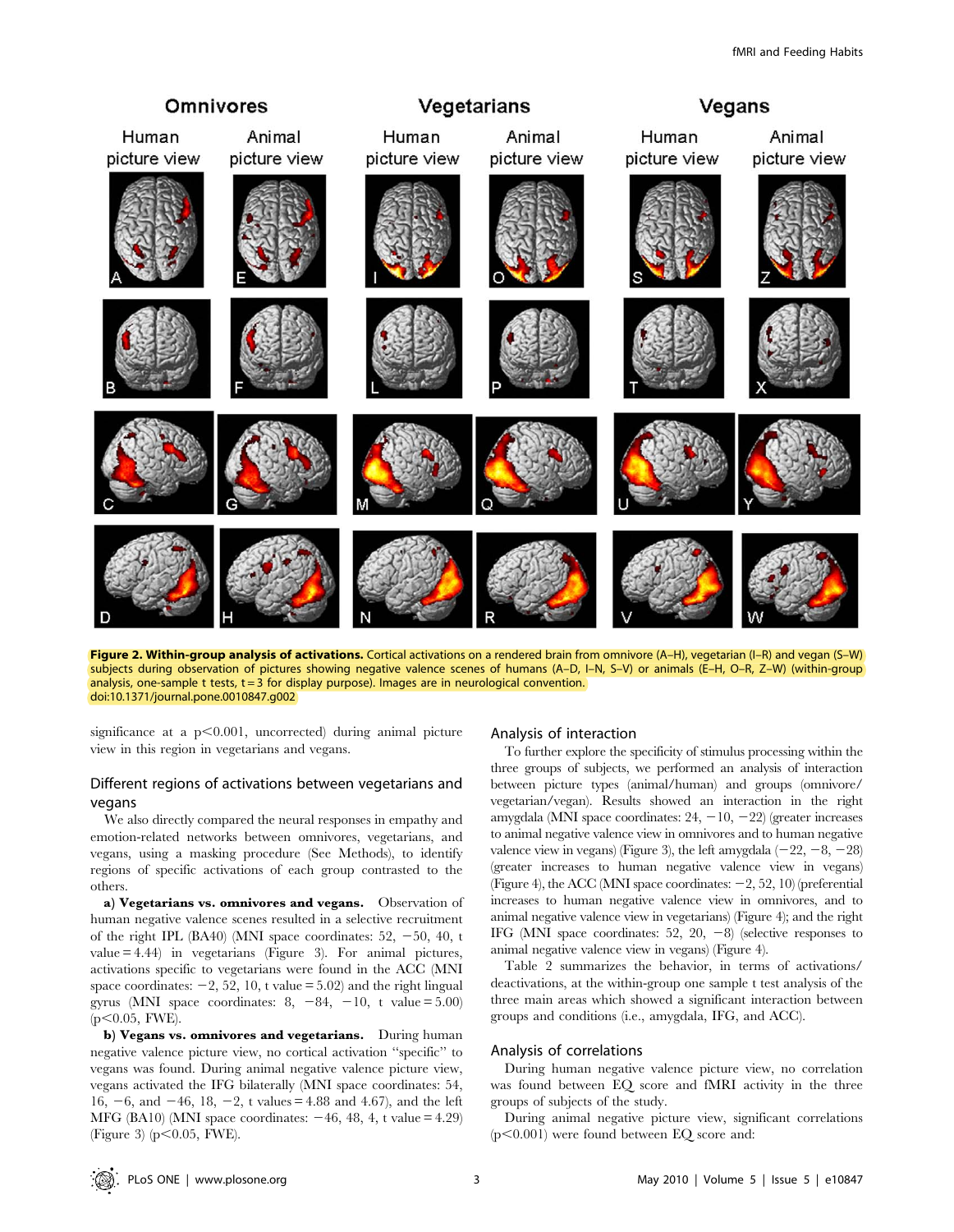

Figure 2. Within-group analysis of activations. Cortical activations on a rendered brain from omnivore (A-H), vegetarian (I-R) and vegan (S-W) subjects during observation of pictures showing negative valence scenes of humans (A–D, I–N, S–V) or animals (E–H, O–R, Z–W) (within-group analysis, one-sample t tests,  $t = 3$  for display purpose). Images are in neurological convention. doi:10.1371/journal.pone.0010847.g002

significance at a  $p<0.001$ , uncorrected) during animal picture view in this region in vegetarians and vegans.

# Different regions of activations between vegetarians and vegans

We also directly compared the neural responses in empathy and emotion-related networks between omnivores, vegetarians, and vegans, using a masking procedure (See Methods), to identify regions of specific activations of each group contrasted to the others.

a) Vegetarians vs. omnivores and vegans. Observation of human negative valence scenes resulted in a selective recruitment of the right IPL (BA40) (MNI space coordinates:  $52, -50, 40, t$ value = 4.44) in vegetarians (Figure 3). For animal pictures, activations specific to vegetarians were found in the ACC (MNI space coordinates:  $-2$ , 52, 10, t value = 5.02) and the right lingual gyrus (MNI space coordinates:  $8, -84, -10, t$  value = 5.00)  $(p<0.05, FWE)$ .

b) Vegans vs. omnivores and vegetarians. During human negative valence picture view, no cortical activation ''specific'' to vegans was found. During animal negative valence picture view, vegans activated the IFG bilaterally (MNI space coordinates: 54, 16,  $-6$ , and  $-46$ , 18,  $-2$ , t values = 4.88 and 4.67), and the left MFG (BA10) (MNI space coordinates:  $-46$ , 48, 4, t value = 4.29) (Figure 3) ( $p<0.05$ , FWE).

#### Analysis of interaction

To further explore the specificity of stimulus processing within the three groups of subjects, we performed an analysis of interaction between picture types (animal/human) and groups (omnivore/ vegetarian/vegan). Results showed an interaction in the right amygdala (MNI space coordinates:  $24, -10, -22$ ) (greater increases to animal negative valence view in omnivores and to human negative valence view in vegans) (Figure 3), the left amygdala  $(-22, -8, -28)$ (greater increases to human negative valence view in vegans) (Figure 4), the ACC (MNI space coordinates:  $-2$ , 52, 10) (preferential increases to human negative valence view in omnivores, and to animal negative valence view in vegetarians) (Figure 4); and the right IFG (MNI space coordinates: 52, 20,  $-8$ ) (selective responses to animal negative valence view in vegans) (Figure 4).

Table 2 summarizes the behavior, in terms of activations/ deactivations, at the within-group one sample t test analysis of the three main areas which showed a significant interaction between groups and conditions (i.e., amygdala, IFG, and ACC).

# Analysis of correlations

During human negative valence picture view, no correlation was found between EQ score and fMRI activity in the three groups of subjects of the study.

During animal negative picture view, significant correlations  $(p<0.001)$  were found between EQ score and: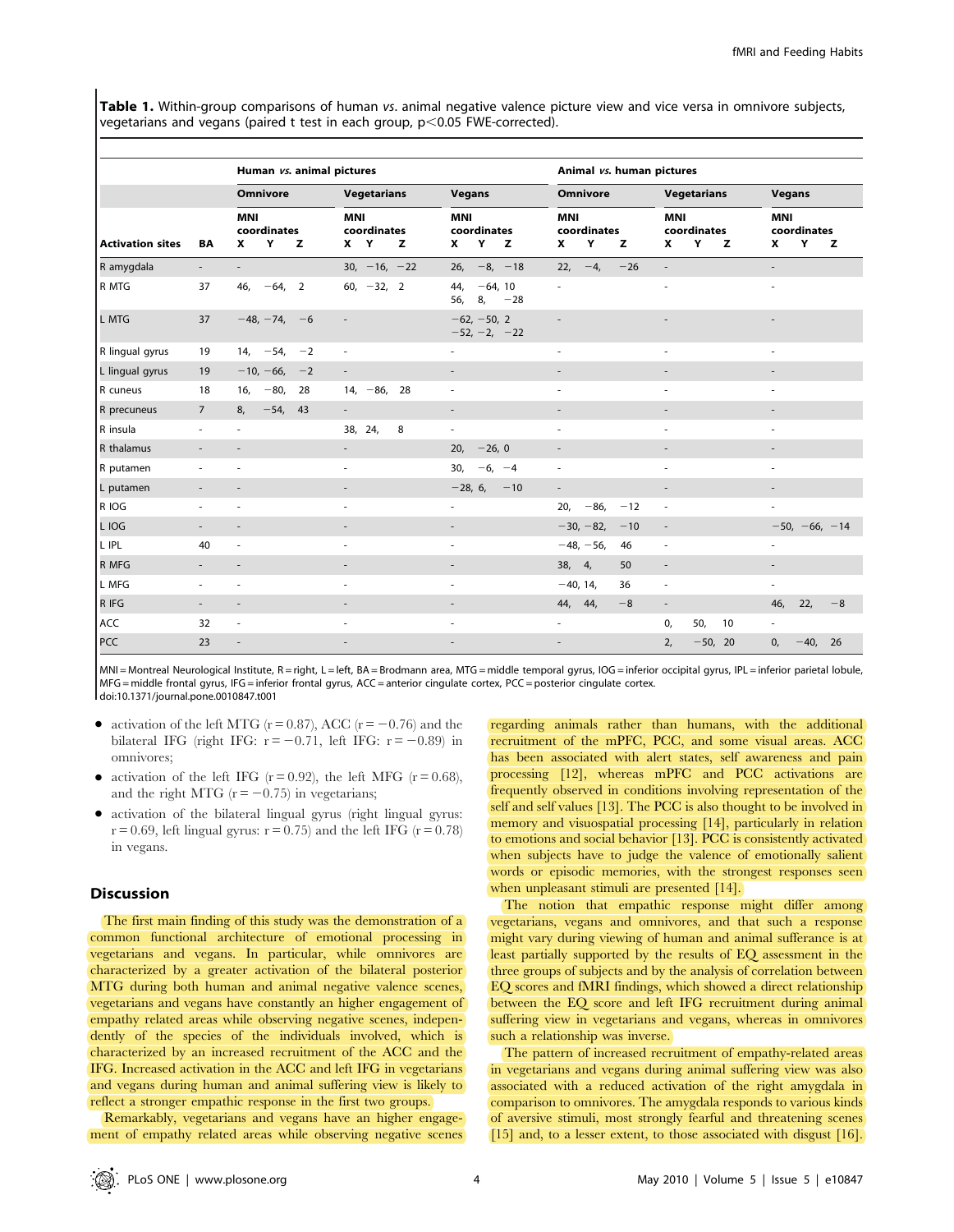Table 1. Within-group comparisons of human vs. animal negative valence picture view and vice versa in omnivore subjects, vegetarians and vegans (paired t test in each group,  $p<0.05$  FWE-corrected).

| <b>Activation sites</b> | BA                       | Human vs. animal pictures           |    |                                       |                                          | Animal vs. human pictures                |                                          |                                          |  |
|-------------------------|--------------------------|-------------------------------------|----|---------------------------------------|------------------------------------------|------------------------------------------|------------------------------------------|------------------------------------------|--|
|                         |                          | <b>Omnivore</b>                     |    | <b>Vegetarians</b>                    | Vegans                                   | Omnivore                                 | <b>Vegetarians</b>                       | <b>Vegans</b>                            |  |
|                         |                          | <b>MNI</b><br>coordinates<br>Υ<br>x | z  | <b>MNI</b><br>coordinates<br>X Y<br>z | <b>MNI</b><br>coordinates<br>Y<br>x<br>z | <b>MNI</b><br>coordinates<br>Υ<br>z<br>x | <b>MNI</b><br>coordinates<br>Υ<br>x<br>z | <b>MNI</b><br>coordinates<br>Υ<br>x<br>z |  |
| R amygdala              | $\overline{\phantom{a}}$ | ۰.                                  |    | $30, -16, -22$                        | $-8, -18$<br>26,                         | $22, -4,$<br>$-26$                       | $\overline{\phantom{a}}$                 | $\overline{\phantom{a}}$                 |  |
| R MTG                   | 37                       | $-64, 2$<br>46,                     |    | 60, $-32$ , 2                         | $-64, 10$<br>44,<br>56, 8, $-28$         | $\overline{\phantom{a}}$                 |                                          | ٠                                        |  |
| L MTG                   | 37                       | $-48, -74, -6$                      |    |                                       | $-62, -50, 2$<br>$-52, -2, -22$          |                                          |                                          |                                          |  |
| R lingual gyrus         | 19                       | $14, -54, -2$                       |    | $\overline{\phantom{a}}$              | $\overline{\phantom{a}}$                 | $\overline{\phantom{a}}$                 | ÷,                                       | ä,                                       |  |
| L lingual gyrus         | 19                       | $-10, -66, -2$                      |    | $\overline{\phantom{a}}$              |                                          |                                          |                                          |                                          |  |
| R cuneus                | 18                       | $-80,$<br>16,                       | 28 | $14, -86, 28$                         | $\overline{\phantom{a}}$                 | $\overline{\phantom{a}}$                 | $\overline{\phantom{a}}$                 | ٠                                        |  |
| R precuneus             | $\overline{7}$           | $-54, 43$<br>8,                     |    | $\overline{\phantom{a}}$              | $\overline{\phantom{a}}$                 |                                          |                                          |                                          |  |
| R insula                | $\overline{\phantom{a}}$ | ä,                                  |    | 8<br>38, 24,                          | $\overline{\phantom{a}}$                 | $\overline{\phantom{a}}$                 | $\overline{\phantom{a}}$                 | ٠                                        |  |
| R thalamus              | $\overline{\phantom{a}}$ |                                     |    | $\overline{\phantom{a}}$              | $-26, 0$<br>20,                          | $\overline{\phantom{a}}$                 |                                          |                                          |  |
| R putamen               | ٠                        |                                     |    | $\overline{\phantom{a}}$              | $-6, -4$<br>30,                          | $\overline{\phantom{a}}$                 | ٠                                        | ٠                                        |  |
| L putamen               | $\overline{\phantom{a}}$ |                                     |    | $\overline{\phantom{a}}$              | $-28, 6,$<br>$-10$                       | $\overline{\phantom{a}}$                 |                                          | $\overline{\phantom{a}}$                 |  |
| R IOG                   | ٠                        |                                     |    | ٠                                     | $\overline{\phantom{a}}$                 | $-86,$<br>20,<br>$-12$                   | $\overline{\phantom{a}}$                 |                                          |  |
| L IOG                   |                          |                                     |    |                                       |                                          | $-30, -82,$<br>$-10$                     |                                          | $-50, -66, -14$                          |  |
| L IPL                   | 40                       | L,                                  |    | $\overline{\phantom{a}}$              | ÷,                                       | $-48, -56,$<br>46                        | $\overline{\phantom{a}}$                 | ٠                                        |  |
| R MFG                   | $\overline{\phantom{a}}$ |                                     |    | $\overline{\phantom{a}}$              |                                          | 38, 4,<br>50                             | $\overline{\phantom{a}}$                 | $\overline{\phantom{a}}$                 |  |
| L MFG                   | $\sim$                   | ٠                                   |    | ٠                                     | $\overline{\phantom{a}}$                 | $-40, 14,$<br>36                         | $\overline{\phantom{a}}$                 | $\overline{\phantom{a}}$                 |  |
| R IFG                   | $\overline{\phantom{a}}$ | $\overline{\phantom{0}}$            |    | $\overline{\phantom{a}}$              | $\overline{\phantom{a}}$                 | 44, 44,<br>$-8$                          | $\centerdot$                             | 46,<br>22,<br>$-8$                       |  |
| ACC                     | 32                       | $\overline{\phantom{a}}$            |    | $\overline{\phantom{a}}$              | $\overline{\phantom{a}}$                 | $\overline{\phantom{a}}$                 | 0,<br>50,<br>10                          | $\overline{\phantom{a}}$                 |  |
| PCC                     | 23                       | ÷,                                  |    |                                       | $\overline{\phantom{a}}$                 | $\qquad \qquad \blacksquare$             | $-50, 20$<br>2,                          | 0,<br>$-40,$<br>- 26                     |  |

MNI = Montreal Neurological Institute, R = right, L = left, BA = Brodmann area, MTG = middle temporal gyrus, IOG = inferior occipital gyrus, IPL = inferior parietal lobule, MFG = middle frontal gyrus, IFG = inferior frontal gyrus, ACC = anterior cingulate cortex, PCC = posterior cingulate cortex. doi:10.1371/journal.pone.0010847.t001

- activation of the left MTG ( $r = 0.87$ ), ACC ( $r = -0.76$ ) and the bilateral IFG (right IFG:  $r = -0.71$ , left IFG:  $r = -0.89$ ) in omnivores;
- activation of the left IFG  $(r = 0.92)$ , the left MFG  $(r = 0.68)$ , and the right MTG  $(r = -0.75)$  in vegetarians;
- N activation of the bilateral lingual gyrus (right lingual gyrus:  $r = 0.69$ , left lingual gyrus:  $r = 0.75$ ) and the left IFG ( $r = 0.78$ ) in vegans.

#### **Discussion**

The first main finding of this study was the demonstration of a common functional architecture of emotional processing in vegetarians and vegans. In particular, while omnivores are characterized by a greater activation of the bilateral posterior MTG during both human and animal negative valence scenes, vegetarians and vegans have constantly an higher engagement of empathy related areas while observing negative scenes, independently of the species of the individuals involved, which is characterized by an increased recruitment of the ACC and the IFG. Increased activation in the ACC and left IFG in vegetarians and vegans during human and animal suffering view is likely to reflect a stronger empathic response in the first two groups.

Remarkably, vegetarians and vegans have an higher engagement of empathy related areas while observing negative scenes regarding animals rather than humans, with the additional recruitment of the mPFC, PCC, and some visual areas. ACC has been associated with alert states, self awareness and pain processing [12], whereas mPFC and PCC activations are frequently observed in conditions involving representation of the self and self values [13]. The PCC is also thought to be involved in memory and visuospatial processing [14], particularly in relation to emotions and social behavior [13]. PCC is consistently activated when subjects have to judge the valence of emotionally salient words or episodic memories, with the strongest responses seen when unpleasant stimuli are presented [14].

The notion that empathic response might differ among vegetarians, vegans and omnivores, and that such a response might vary during viewing of human and animal sufferance is at least partially supported by the results of EQ assessment in the three groups of subjects and by the analysis of correlation between EQ scores and fMRI findings, which showed a direct relationship between the EQ score and left IFG recruitment during animal suffering view in vegetarians and vegans, whereas in omnivores such a relationship was inverse.

The pattern of increased recruitment of empathy-related areas in vegetarians and vegans during animal suffering view was also associated with a reduced activation of the right amygdala in comparison to omnivores. The amygdala responds to various kinds of aversive stimuli, most strongly fearful and threatening scenes [15] and, to a lesser extent, to those associated with disgust [16].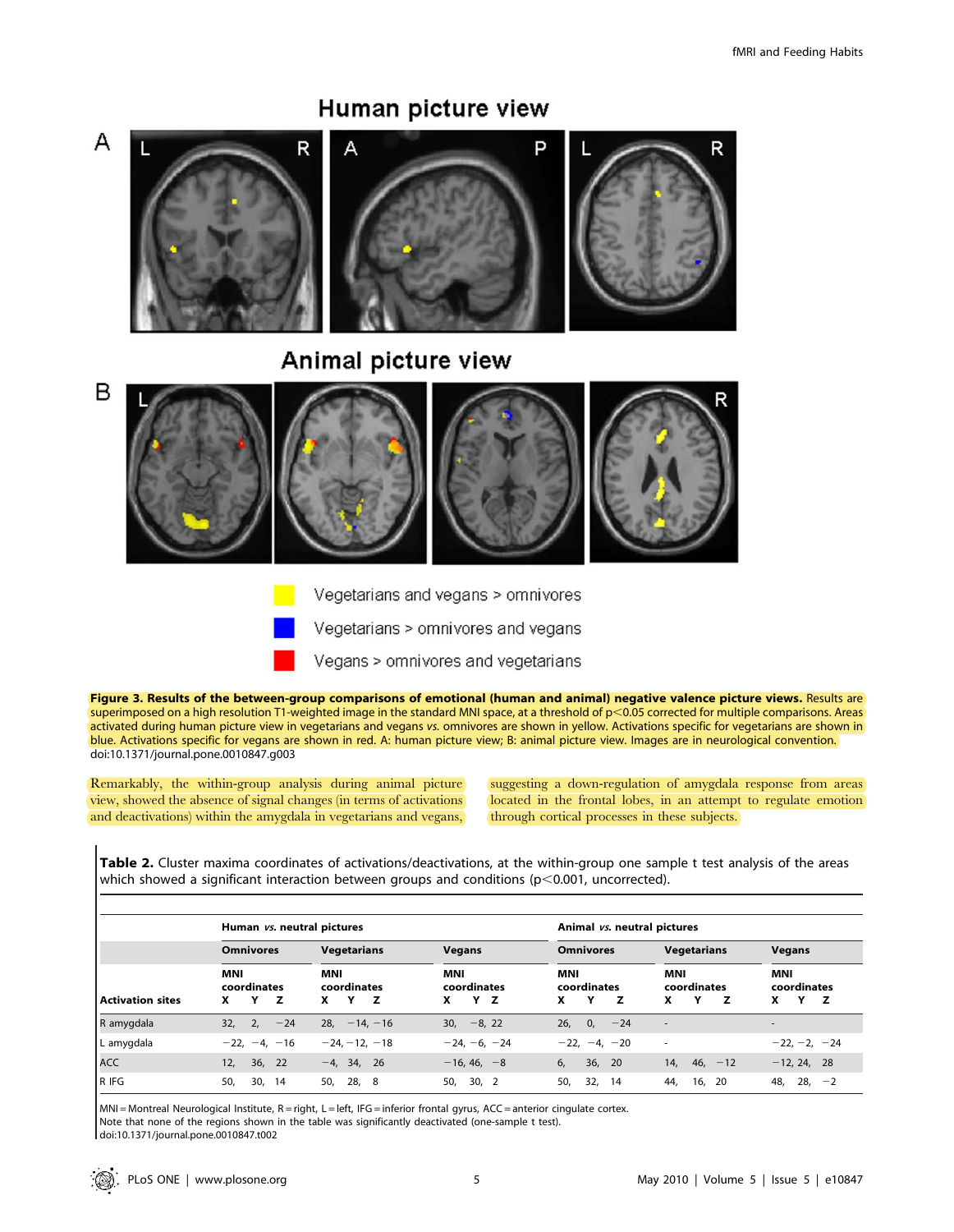

Human picture view

Figure 3. Results of the between-group comparisons of emotional (human and animal) negative valence picture views. Results are superimposed on a high resolution T1-weighted image in the standard MNI space, at a threshold of  $p$  < 0.05 corrected for multiple comparisons. Areas activated during human picture view in vegetarians and vegans vs. omnivores are shown in yellow. Activations specific for vegetarians are shown in blue. Activations specific for vegans are shown in red. A: human picture view; B: animal picture view. Images are in neurological convention. doi:10.1371/journal.pone.0010847.g003

Vegetarians and vegans > omnivores

Vegetarians > omnivores and vegans

Vegans > omnivores and vegetarians

Remarkably, the within-group analysis during animal picture view, showed the absence of signal changes (in terms of activations and deactivations) within the amygdala in vegetarians and vegans, suggesting a down-regulation of amygdala response from areas located in the frontal lobes, in an attempt to regulate emotion through cortical processes in these subjects.

Table 2. Cluster maxima coordinates of activations/deactivations, at the within-group one sample t test analysis of the areas which showed a significant interaction between groups and conditions ( $p$ <0.001, uncorrected).

|                         | Human vs. neutral pictures               |                                          |                                       | Animal vs. neutral pictures  |                                     |                                   |  |
|-------------------------|------------------------------------------|------------------------------------------|---------------------------------------|------------------------------|-------------------------------------|-----------------------------------|--|
| <b>Activation sites</b> | <b>Omnivores</b>                         | Vegetarians                              | <b>Vegans</b>                         | <b>Omnivores</b>             | <b>Vegetarians</b>                  | <b>Vegans</b>                     |  |
|                         | <b>MNI</b><br>coordinates<br>x<br>z<br>Y | <b>MNI</b><br>coordinates<br>x<br>z<br>Y | <b>MNI</b><br>coordinates<br>x<br>Y Z | MNI<br>coordinates<br>x<br>z | <b>MNI</b><br>coordinates<br>x<br>z | MNI<br>coordinates<br>x<br>Y<br>z |  |
| R amygdala              | $32, 2, -24$                             | $28, -14, -16$                           | $30, -8, 22$                          | 26, 0,<br>$-24$              | $\overline{\phantom{a}}$            | $\overline{\phantom{a}}$          |  |
| L amygdala              | $-22, -4, -16$                           | $-24. -12. -18$                          | $-24, -6, -24$                        | $-22, -4, -20$               | $\overline{\phantom{a}}$            | $-22, -2, -24$                    |  |
| ACC                     | 36, 22<br>12,                            | $-4, 34, 26$                             | $-16, 46, -8$                         | 6,<br>36, 20                 | 14, 46, $-12$                       | $-12, 24, 28$                     |  |
| R IFG                   | 50,<br>30, 14                            | 50,<br>28,<br>-8                         | 50,<br>30, 2                          | 50,<br>32,<br>-14            | -20<br>44,<br>16,                   | $28, -2$<br>48,                   |  |

 $MNI = Montreal Neurological Institute, R = right, L = left, IFG = inferior frontal gyrus, ACC = anterior cingulate cortex.$ Note that none of the regions shown in the table was significantly deactivated (one-sample t test).

doi:10.1371/journal.pone.0010847.t002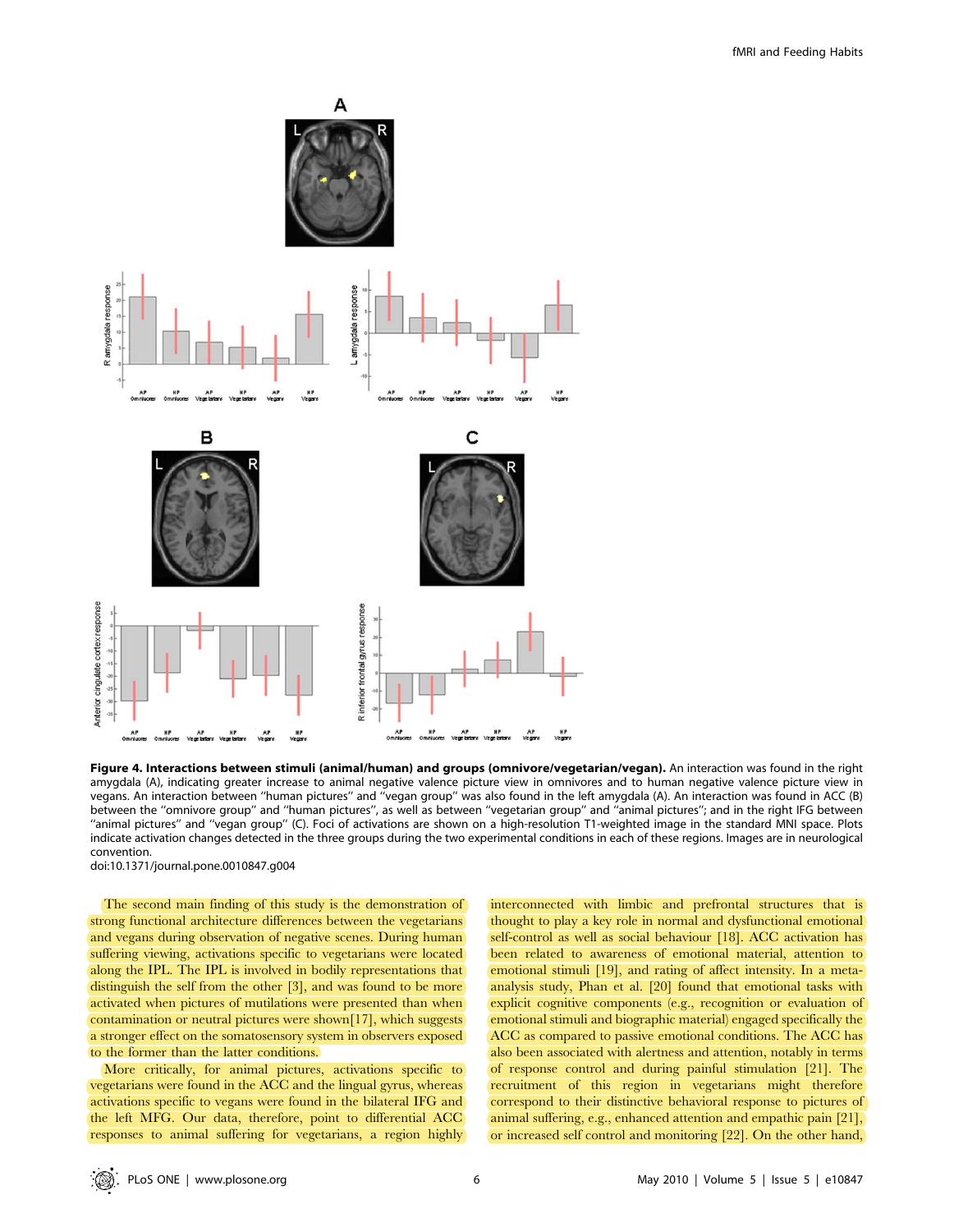

Figure 4. Interactions between stimuli (animal/human) and groups (omnivore/vegetarian/vegan). An interaction was found in the right amygdala (A), indicating greater increase to animal negative valence picture view in omnivores and to human negative valence picture view in vegans. An interaction between ''human pictures'' and ''vegan group'' was also found in the left amygdala (A). An interaction was found in ACC (B) between the ''omnivore group'' and ''human pictures'', as well as between ''vegetarian group'' and ''animal pictures''; and in the right IFG between ''animal pictures'' and ''vegan group'' (C). Foci of activations are shown on a high-resolution T1-weighted image in the standard MNI space. Plots indicate activation changes detected in the three groups during the two experimental conditions in each of these regions. Images are in neurological convention.

doi:10.1371/journal.pone.0010847.g004

The second main finding of this study is the demonstration of strong functional architecture differences between the vegetarians and vegans during observation of negative scenes. During human suffering viewing, activations specific to vegetarians were located along the IPL. The IPL is involved in bodily representations that distinguish the self from the other [3], and was found to be more activated when pictures of mutilations were presented than when contamination or neutral pictures were shown[17], which suggests a stronger effect on the somatosensory system in observers exposed to the former than the latter conditions.

More critically, for animal pictures, activations specific to vegetarians were found in the ACC and the lingual gyrus, whereas activations specific to vegans were found in the bilateral IFG and the left MFG. Our data, therefore, point to differential ACC responses to animal suffering for vegetarians, a region highly interconnected with limbic and prefrontal structures that is thought to play a key role in normal and dysfunctional emotional self-control as well as social behaviour [18]. ACC activation has been related to awareness of emotional material, attention to emotional stimuli [19], and rating of affect intensity. In a metaanalysis study, Phan et al. [20] found that emotional tasks with explicit cognitive components (e.g., recognition or evaluation of emotional stimuli and biographic material) engaged specifically the ACC as compared to passive emotional conditions. The ACC has also been associated with alertness and attention, notably in terms of response control and during painful stimulation [21]. The recruitment of this region in vegetarians might therefore correspond to their distinctive behavioral response to pictures of animal suffering, e.g., enhanced attention and empathic pain [21], or increased self control and monitoring [22]. On the other hand,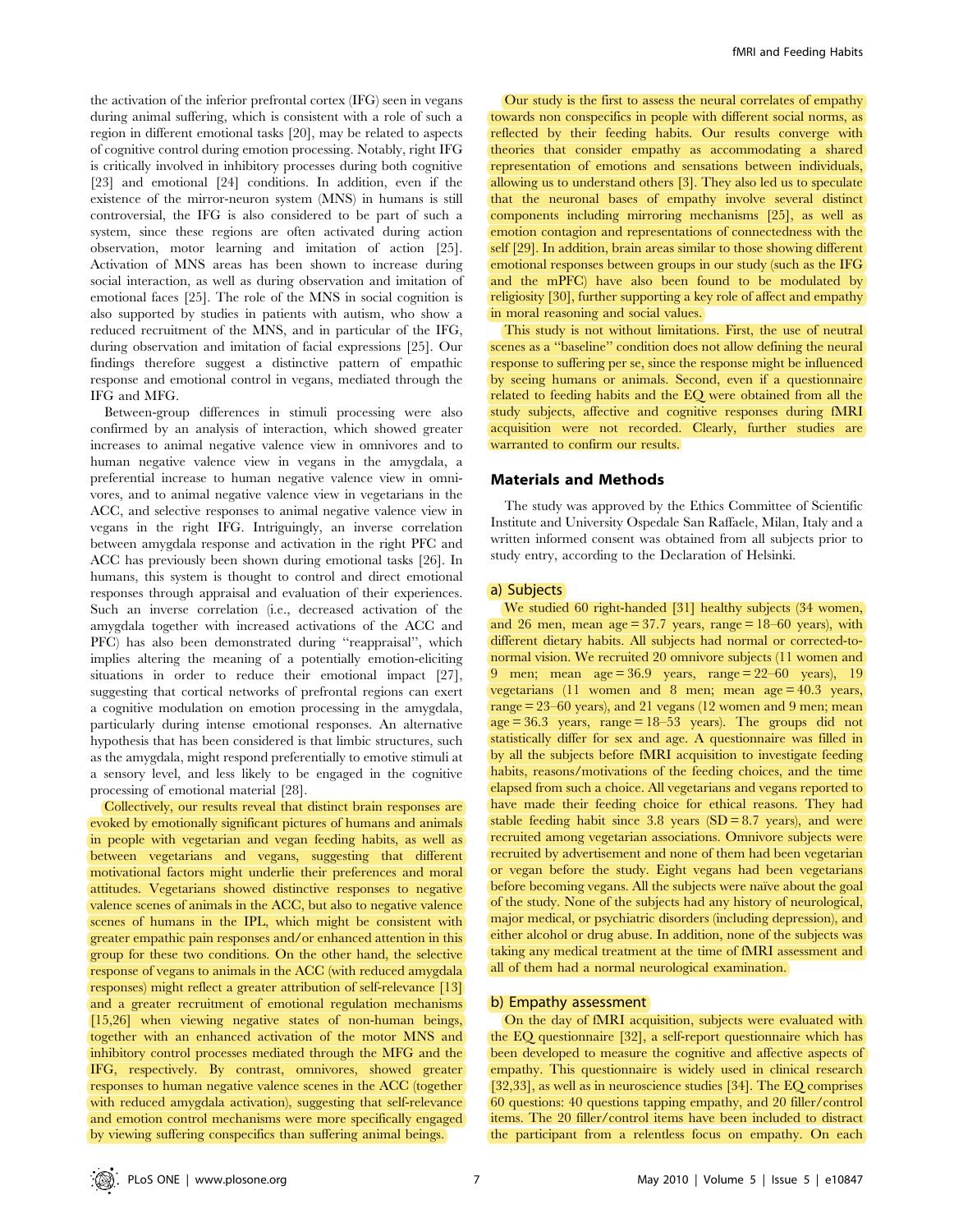the activation of the inferior prefrontal cortex (IFG) seen in vegans during animal suffering, which is consistent with a role of such a region in different emotional tasks [20], may be related to aspects of cognitive control during emotion processing. Notably, right IFG is critically involved in inhibitory processes during both cognitive [23] and emotional [24] conditions. In addition, even if the existence of the mirror-neuron system (MNS) in humans is still controversial, the IFG is also considered to be part of such a system, since these regions are often activated during action observation, motor learning and imitation of action [25]. Activation of MNS areas has been shown to increase during social interaction, as well as during observation and imitation of emotional faces [25]. The role of the MNS in social cognition is also supported by studies in patients with autism, who show a reduced recruitment of the MNS, and in particular of the IFG, during observation and imitation of facial expressions [25]. Our findings therefore suggest a distinctive pattern of empathic response and emotional control in vegans, mediated through the IFG and MFG.

Between-group differences in stimuli processing were also confirmed by an analysis of interaction, which showed greater increases to animal negative valence view in omnivores and to human negative valence view in vegans in the amygdala, a preferential increase to human negative valence view in omnivores, and to animal negative valence view in vegetarians in the ACC, and selective responses to animal negative valence view in vegans in the right IFG. Intriguingly, an inverse correlation between amygdala response and activation in the right PFC and ACC has previously been shown during emotional tasks [26]. In humans, this system is thought to control and direct emotional responses through appraisal and evaluation of their experiences. Such an inverse correlation (i.e., decreased activation of the amygdala together with increased activations of the ACC and PFC) has also been demonstrated during ''reappraisal'', which implies altering the meaning of a potentially emotion-eliciting situations in order to reduce their emotional impact [27], suggesting that cortical networks of prefrontal regions can exert a cognitive modulation on emotion processing in the amygdala, particularly during intense emotional responses. An alternative hypothesis that has been considered is that limbic structures, such as the amygdala, might respond preferentially to emotive stimuli at a sensory level, and less likely to be engaged in the cognitive processing of emotional material [28].

Collectively, our results reveal that distinct brain responses are evoked by emotionally significant pictures of humans and animals in people with vegetarian and vegan feeding habits, as well as between vegetarians and vegans, suggesting that different motivational factors might underlie their preferences and moral attitudes. Vegetarians showed distinctive responses to negative valence scenes of animals in the ACC, but also to negative valence scenes of humans in the IPL, which might be consistent with greater empathic pain responses and/or enhanced attention in this group for these two conditions. On the other hand, the selective response of vegans to animals in the ACC (with reduced amygdala responses) might reflect a greater attribution of self-relevance [13] and a greater recruitment of emotional regulation mechanisms [15,26] when viewing negative states of non-human beings, together with an enhanced activation of the motor MNS and inhibitory control processes mediated through the MFG and the IFG, respectively. By contrast, omnivores, showed greater responses to human negative valence scenes in the ACC (together with reduced amygdala activation), suggesting that self-relevance and emotion control mechanisms were more specifically engaged by viewing suffering conspecifics than suffering animal beings.

Our study is the first to assess the neural correlates of empathy towards non conspecifics in people with different social norms, as reflected by their feeding habits. Our results converge with theories that consider empathy as accommodating a shared representation of emotions and sensations between individuals, allowing us to understand others [3]. They also led us to speculate that the neuronal bases of empathy involve several distinct components including mirroring mechanisms [25], as well as emotion contagion and representations of connectedness with the self [29]. In addition, brain areas similar to those showing different emotional responses between groups in our study (such as the IFG and the mPFC) have also been found to be modulated by religiosity [30], further supporting a key role of affect and empathy in moral reasoning and social values.

This study is not without limitations. First, the use of neutral scenes as a ''baseline'' condition does not allow defining the neural response to suffering per se, since the response might be influenced by seeing humans or animals. Second, even if a questionnaire related to feeding habits and the EQ were obtained from all the study subjects, affective and cognitive responses during fMRI acquisition were not recorded. Clearly, further studies are warranted to confirm our results.

#### Materials and Methods

The study was approved by the Ethics Committee of Scientific Institute and University Ospedale San Raffaele, Milan, Italy and a written informed consent was obtained from all subjects prior to study entry, according to the Declaration of Helsinki.

#### a) Subjects

We studied 60 right-handed [31] healthy subjects (34 women, and 26 men, mean  $age = 37.7$  years, range  $= 18-60$  years), with different dietary habits. All subjects had normal or corrected-tonormal vision. We recruited 20 omnivore subjects (11 women and 9 men; mean age = 36.9 years, range = 22–60 years), 19 vegetarians (11 women and 8 men; mean age  $= 40.3$  years, range  $= 23-60$  years), and 21 vegans (12 women and 9 men; mean  $age = 36.3$  years, range  $= 18-53$  years). The groups did not statistically differ for sex and age. A questionnaire was filled in by all the subjects before fMRI acquisition to investigate feeding habits, reasons/motivations of the feeding choices, and the time elapsed from such a choice. All vegetarians and vegans reported to have made their feeding choice for ethical reasons. They had stable feeding habit since 3.8 years  $(SD = 8.7 \text{ years})$ , and were recruited among vegetarian associations. Omnivore subjects were recruited by advertisement and none of them had been vegetarian or vegan before the study. Eight vegans had been vegetarians before becoming vegans. All the subjects were naïve about the goal of the study. None of the subjects had any history of neurological, major medical, or psychiatric disorders (including depression), and either alcohol or drug abuse. In addition, none of the subjects was taking any medical treatment at the time of fMRI assessment and all of them had a normal neurological examination.

# b) Empathy assessment

On the day of fMRI acquisition, subjects were evaluated with the EQ questionnaire [32], a self-report questionnaire which has been developed to measure the cognitive and affective aspects of empathy. This questionnaire is widely used in clinical research [32,33], as well as in neuroscience studies [34]. The EQ comprises 60 questions: 40 questions tapping empathy, and 20 filler/control items. The 20 filler/control items have been included to distract the participant from a relentless focus on empathy. On each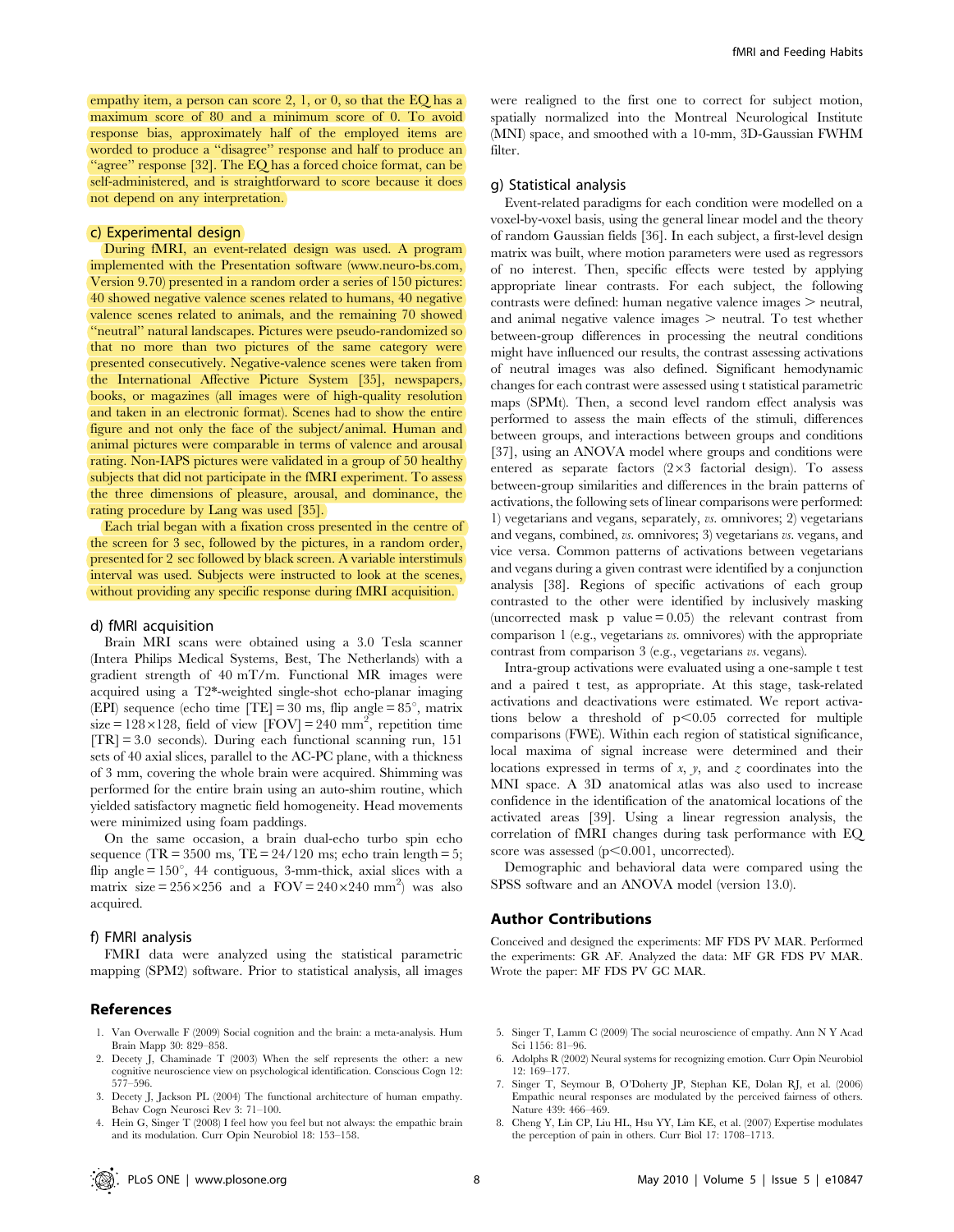empathy item, a person can score 2, 1, or 0, so that the EQ has a maximum score of 80 and a minimum score of 0. To avoid response bias, approximately half of the employed items are worded to produce a ''disagree'' response and half to produce an ''agree'' response [32]. The EQ has a forced choice format, can be self-administered, and is straightforward to score because it does not depend on any interpretation.

#### c) Experimental design

During fMRI, an event-related design was used. A program implemented with the Presentation software (www.neuro-bs.com, Version 9.70) presented in a random order a series of 150 pictures: 40 showed negative valence scenes related to humans, 40 negative valence scenes related to animals, and the remaining 70 showed ''neutral'' natural landscapes. Pictures were pseudo-randomized so that no more than two pictures of the same category were presented consecutively. Negative-valence scenes were taken from the International Affective Picture System [35], newspapers, books, or magazines (all images were of high-quality resolution and taken in an electronic format). Scenes had to show the entire figure and not only the face of the subject/animal. Human and animal pictures were comparable in terms of valence and arousal rating. Non-IAPS pictures were validated in a group of 50 healthy subjects that did not participate in the fMRI experiment. To assess the three dimensions of pleasure, arousal, and dominance, the rating procedure by Lang was used [35].

Each trial began with a fixation cross presented in the centre of the screen for 3 sec, followed by the pictures, in a random order, presented for 2 sec followed by black screen. A variable interstimuls interval was used. Subjects were instructed to look at the scenes, without providing any specific response during fMRI acquisition.

#### d) fMRI acquisition

Brain MRI scans were obtained using a 3.0 Tesla scanner (Intera Philips Medical Systems, Best, The Netherlands) with a gradient strength of 40 mT/m. Functional MR images were acquired using a T2\*-weighted single-shot echo-planar imaging (EPI) sequence (echo time  $|TE| = 30$  ms, flip angle =  $85^{\circ}$ , matrix size =  $128 \times 128$ , field of view [FOV] = 240 mm<sup>2</sup>, repetition time  $[TR] = 3.0$  seconds). During each functional scanning run, 151 sets of 40 axial slices, parallel to the AC-PC plane, with a thickness of 3 mm, covering the whole brain were acquired. Shimming was performed for the entire brain using an auto-shim routine, which yielded satisfactory magnetic field homogeneity. Head movements were minimized using foam paddings.

On the same occasion, a brain dual-echo turbo spin echo sequence (TR =  $3500$  ms, TE =  $24/120$  ms; echo train length =  $5$ ; flip angle =  $150^{\circ}$ , 44 contiguous, 3-mm-thick, axial slices with a matrix size =  $256 \times 256$  and a  $FOV = 240 \times 240$  mm<sup>2</sup>) was also acquired.

#### f) FMRI analysis

FMRI data were analyzed using the statistical parametric mapping (SPM2) software. Prior to statistical analysis, all images

# References

- 1. Van Overwalle F (2009) Social cognition and the brain: a meta-analysis. Hum Brain Mapp 30: 829–858.
- 2. Decety J, Chaminade T (2003) When the self represents the other: a new cognitive neuroscience view on psychological identification. Conscious Cogn 12: 577–596.
- 3. Decety J, Jackson PL (2004) The functional architecture of human empathy. Behav Cogn Neurosci Rev 3: 71–100.
- 4. Hein G, Singer T (2008) I feel how you feel but not always: the empathic brain and its modulation. Curr Opin Neurobiol 18: 153–158.

were realigned to the first one to correct for subject motion, spatially normalized into the Montreal Neurological Institute (MNI) space, and smoothed with a 10-mm, 3D-Gaussian FWHM filter.

#### g) Statistical analysis

Event-related paradigms for each condition were modelled on a voxel-by-voxel basis, using the general linear model and the theory of random Gaussian fields [36]. In each subject, a first-level design matrix was built, where motion parameters were used as regressors of no interest. Then, specific effects were tested by applying appropriate linear contrasts. For each subject, the following  $\text{contrast}$  were defined: human negative valence images  $>$  neutral, and animal negative valence images  $>$  neutral. To test whether between-group differences in processing the neutral conditions might have influenced our results, the contrast assessing activations of neutral images was also defined. Significant hemodynamic changes for each contrast were assessed using t statistical parametric maps (SPMt). Then, a second level random effect analysis was performed to assess the main effects of the stimuli, differences between groups, and interactions between groups and conditions [37], using an ANOVA model where groups and conditions were entered as separate factors  $(2\times3$  factorial design). To assess between-group similarities and differences in the brain patterns of activations, the following sets of linear comparisons were performed: 1) vegetarians and vegans, separately, vs. omnivores; 2) vegetarians and vegans, combined, vs. omnivores; 3) vegetarians vs. vegans, and vice versa. Common patterns of activations between vegetarians and vegans during a given contrast were identified by a conjunction analysis [38]. Regions of specific activations of each group contrasted to the other were identified by inclusively masking (uncorrected mask p value  $= 0.05$ ) the relevant contrast from comparison 1 (e.g., vegetarians vs. omnivores) with the appropriate contrast from comparison 3 (e.g., vegetarians vs. vegans).

Intra-group activations were evaluated using a one-sample t test and a paired t test, as appropriate. At this stage, task-related activations and deactivations were estimated. We report activations below a threshold of  $p<0.05$  corrected for multiple comparisons (FWE). Within each region of statistical significance, local maxima of signal increase were determined and their locations expressed in terms of x, y, and z coordinates into the MNI space. A 3D anatomical atlas was also used to increase confidence in the identification of the anatomical locations of the activated areas [39]. Using a linear regression analysis, the correlation of fMRI changes during task performance with EQ score was assessed  $(p<0.001$ , uncorrected).

Demographic and behavioral data were compared using the SPSS software and an ANOVA model (version 13.0).

# Author Contributions

Conceived and designed the experiments: MF FDS PV MAR. Performed the experiments: GR AF. Analyzed the data: MF GR FDS PV MAR. Wrote the paper: MF FDS PV GC MAR.

- 5. Singer T, Lamm C (2009) The social neuroscience of empathy. Ann N Y Acad Sci 1156: 81–96.
- 6. Adolphs R (2002) Neural systems for recognizing emotion. Curr Opin Neurobiol 12: 169–177.
- 7. Singer T, Seymour B, O'Doherty JP, Stephan KE, Dolan RJ, et al. (2006) Empathic neural responses are modulated by the perceived fairness of others. Nature 439: 466–469.
- 8. Cheng Y, Lin CP, Liu HL, Hsu YY, Lim KE, et al. (2007) Expertise modulates the perception of pain in others. Curr Biol 17: 1708–1713.